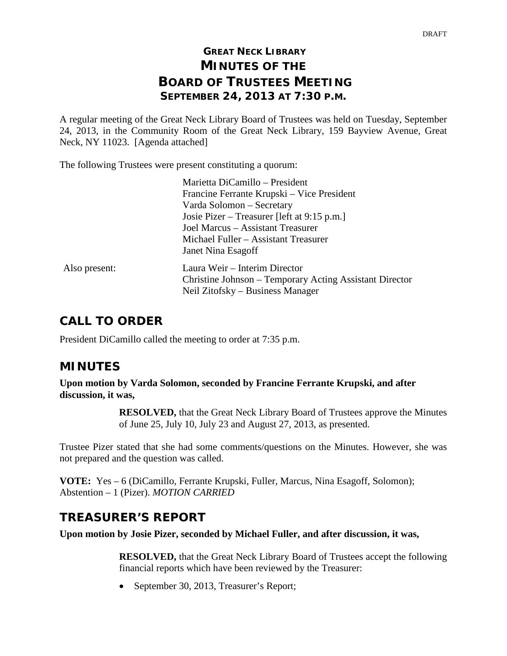# **GREAT NECK LIBRARY MINUTES OF THE BOARD OF TRUSTEES MEETING SEPTEMBER 24, 2013 AT 7:30 P.M.**

A regular meeting of the Great Neck Library Board of Trustees was held on Tuesday, September 24, 2013, in the Community Room of the Great Neck Library, 159 Bayview Avenue, Great Neck, NY 11023. [Agenda attached]

The following Trustees were present constituting a quorum:

|               | Marietta DiCamillo - President                          |
|---------------|---------------------------------------------------------|
|               | Francine Ferrante Krupski – Vice President              |
|               | Varda Solomon – Secretary                               |
|               | Josie Pizer – Treasurer [left at 9:15 p.m.]             |
|               | Joel Marcus – Assistant Treasurer                       |
|               | Michael Fuller – Assistant Treasurer                    |
|               | Janet Nina Esagoff                                      |
| Also present: | Laura Weir – Interim Director                           |
|               | Christine Johnson – Temporary Acting Assistant Director |
|               | Neil Zitofsky – Business Manager                        |
|               |                                                         |

## **CALL TO ORDER**

President DiCamillo called the meeting to order at 7:35 p.m.

# **MINUTES**

**Upon motion by Varda Solomon, seconded by Francine Ferrante Krupski, and after discussion, it was,**

> **RESOLVED,** that the Great Neck Library Board of Trustees approve the Minutes of June 25, July 10, July 23 and August 27, 2013, as presented.

Trustee Pizer stated that she had some comments/questions on the Minutes. However, she was not prepared and the question was called.

**VOTE:** Yes – 6 (DiCamillo, Ferrante Krupski, Fuller, Marcus, Nina Esagoff, Solomon); Abstention – 1 (Pizer). *MOTION CARRIED*

# **TREASURER'S REPORT**

**Upon motion by Josie Pizer, seconded by Michael Fuller, and after discussion, it was,**

**RESOLVED,** that the Great Neck Library Board of Trustees accept the following financial reports which have been reviewed by the Treasurer:

• September 30, 2013, Treasurer's Report;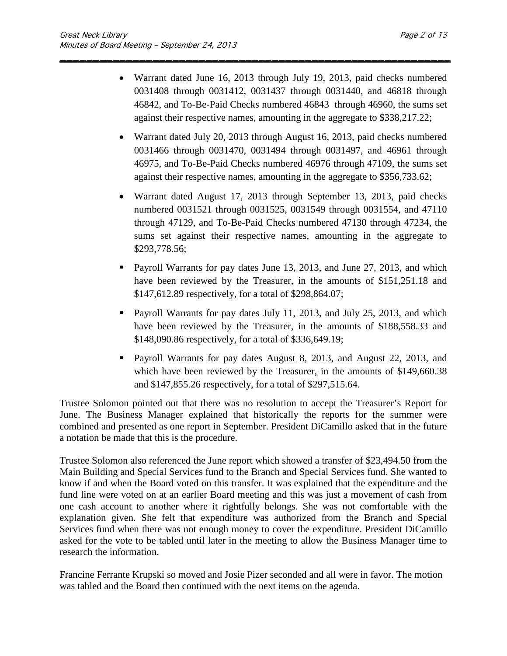• Warrant dated June 16, 2013 through July 19, 2013, paid checks numbered 0031408 through 0031412, 0031437 through 0031440, and 46818 through 46842, and To-Be-Paid Checks numbered 46843 through 46960, the sums set against their respective names, amounting in the aggregate to \$338,217.22;

\_\_\_\_\_\_\_\_\_\_\_\_\_\_\_\_\_\_\_\_\_\_\_\_\_\_\_\_\_\_\_\_\_\_\_\_\_\_\_\_\_\_\_\_\_\_\_\_\_\_\_\_\_\_\_\_\_\_\_

- Warrant dated July 20, 2013 through August 16, 2013, paid checks numbered 0031466 through 0031470, 0031494 through 0031497, and 46961 through 46975, and To-Be-Paid Checks numbered 46976 through 47109, the sums set against their respective names, amounting in the aggregate to \$356,733.62;
- Warrant dated August 17, 2013 through September 13, 2013, paid checks numbered 0031521 through 0031525, 0031549 through 0031554, and 47110 through 47129, and To-Be-Paid Checks numbered 47130 through 47234, the sums set against their respective names, amounting in the aggregate to \$293,778.56;
- **Payroll Warrants for pay dates June 13, 2013, and June 27, 2013, and which** have been reviewed by the Treasurer, in the amounts of \$151,251.18 and \$147,612.89 respectively, for a total of \$298,864.07;
- **Payroll Warrants for pay dates July 11, 2013, and July 25, 2013, and which** have been reviewed by the Treasurer, in the amounts of \$188,558.33 and \$148,090.86 respectively, for a total of \$336,649.19;
- Payroll Warrants for pay dates August 8, 2013, and August 22, 2013, and which have been reviewed by the Treasurer, in the amounts of \$149,660.38 and \$147,855.26 respectively, for a total of \$297,515.64.

Trustee Solomon pointed out that there was no resolution to accept the Treasurer's Report for June. The Business Manager explained that historically the reports for the summer were combined and presented as one report in September. President DiCamillo asked that in the future a notation be made that this is the procedure.

Trustee Solomon also referenced the June report which showed a transfer of \$23,494.50 from the Main Building and Special Services fund to the Branch and Special Services fund. She wanted to know if and when the Board voted on this transfer. It was explained that the expenditure and the fund line were voted on at an earlier Board meeting and this was just a movement of cash from one cash account to another where it rightfully belongs. She was not comfortable with the explanation given. She felt that expenditure was authorized from the Branch and Special Services fund when there was not enough money to cover the expenditure. President DiCamillo asked for the vote to be tabled until later in the meeting to allow the Business Manager time to research the information.

Francine Ferrante Krupski so moved and Josie Pizer seconded and all were in favor. The motion was tabled and the Board then continued with the next items on the agenda.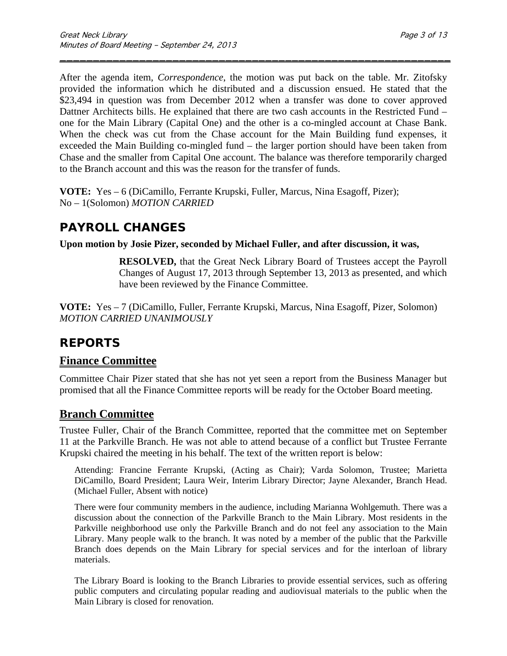After the agenda item, *Correspondence*, the motion was put back on the table. Mr. Zitofsky provided the information which he distributed and a discussion ensued. He stated that the \$23,494 in question was from December 2012 when a transfer was done to cover approved Dattner Architects bills. He explained that there are two cash accounts in the Restricted Fund – one for the Main Library (Capital One) and the other is a co-mingled account at Chase Bank. When the check was cut from the Chase account for the Main Building fund expenses, it exceeded the Main Building co-mingled fund – the larger portion should have been taken from Chase and the smaller from Capital One account. The balance was therefore temporarily charged to the Branch account and this was the reason for the transfer of funds.

\_\_\_\_\_\_\_\_\_\_\_\_\_\_\_\_\_\_\_\_\_\_\_\_\_\_\_\_\_\_\_\_\_\_\_\_\_\_\_\_\_\_\_\_\_\_\_\_\_\_\_\_\_\_\_\_\_\_\_

**VOTE:** Yes – 6 (DiCamillo, Ferrante Krupski, Fuller, Marcus, Nina Esagoff, Pizer); No – 1(Solomon) *MOTION CARRIED* 

## **PAYROLL CHANGES**

**Upon motion by Josie Pizer, seconded by Michael Fuller, and after discussion, it was,**

**RESOLVED,** that the Great Neck Library Board of Trustees accept the Payroll Changes of August 17, 2013 through September 13, 2013 as presented, and which have been reviewed by the Finance Committee.

**VOTE:** Yes – 7 (DiCamillo, Fuller, Ferrante Krupski, Marcus, Nina Esagoff, Pizer, Solomon) *MOTION CARRIED UNANIMOUSLY*

# **REPORTS**

### **Finance Committee**

Committee Chair Pizer stated that she has not yet seen a report from the Business Manager but promised that all the Finance Committee reports will be ready for the October Board meeting.

## **Branch Committee**

Trustee Fuller, Chair of the Branch Committee, reported that the committee met on September 11 at the Parkville Branch. He was not able to attend because of a conflict but Trustee Ferrante Krupski chaired the meeting in his behalf. The text of the written report is below:

Attending: Francine Ferrante Krupski, (Acting as Chair); Varda Solomon, Trustee; Marietta DiCamillo, Board President; Laura Weir, Interim Library Director; Jayne Alexander, Branch Head. (Michael Fuller, Absent with notice)

There were four community members in the audience, including Marianna Wohlgemuth. There was a discussion about the connection of the Parkville Branch to the Main Library. Most residents in the Parkville neighborhood use only the Parkville Branch and do not feel any association to the Main Library. Many people walk to the branch. It was noted by a member of the public that the Parkville Branch does depends on the Main Library for special services and for the interloan of library materials.

The Library Board is looking to the Branch Libraries to provide essential services, such as offering public computers and circulating popular reading and audiovisual materials to the public when the Main Library is closed for renovation.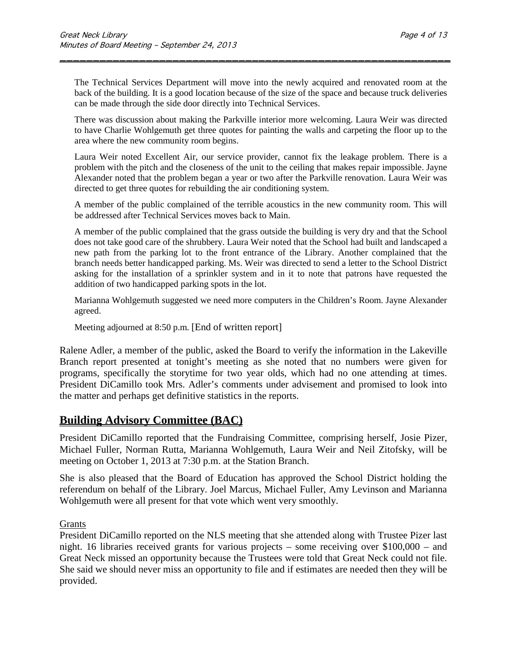The Technical Services Department will move into the newly acquired and renovated room at the back of the building. It is a good location because of the size of the space and because truck deliveries can be made through the side door directly into Technical Services.

\_\_\_\_\_\_\_\_\_\_\_\_\_\_\_\_\_\_\_\_\_\_\_\_\_\_\_\_\_\_\_\_\_\_\_\_\_\_\_\_\_\_\_\_\_\_\_\_\_\_\_\_\_\_\_\_\_\_\_

There was discussion about making the Parkville interior more welcoming. Laura Weir was directed to have Charlie Wohlgemuth get three quotes for painting the walls and carpeting the floor up to the area where the new community room begins.

Laura Weir noted Excellent Air, our service provider, cannot fix the leakage problem. There is a problem with the pitch and the closeness of the unit to the ceiling that makes repair impossible. Jayne Alexander noted that the problem began a year or two after the Parkville renovation. Laura Weir was directed to get three quotes for rebuilding the air conditioning system.

A member of the public complained of the terrible acoustics in the new community room. This will be addressed after Technical Services moves back to Main.

A member of the public complained that the grass outside the building is very dry and that the School does not take good care of the shrubbery. Laura Weir noted that the School had built and landscaped a new path from the parking lot to the front entrance of the Library. Another complained that the branch needs better handicapped parking. Ms. Weir was directed to send a letter to the School District asking for the installation of a sprinkler system and in it to note that patrons have requested the addition of two handicapped parking spots in the lot.

Marianna Wohlgemuth suggested we need more computers in the Children's Room. Jayne Alexander agreed.

Meeting adjourned at 8:50 p.m. [End of written report]

Ralene Adler, a member of the public, asked the Board to verify the information in the Lakeville Branch report presented at tonight's meeting as she noted that no numbers were given for programs, specifically the storytime for two year olds, which had no one attending at times. President DiCamillo took Mrs. Adler's comments under advisement and promised to look into the matter and perhaps get definitive statistics in the reports.

## **Building Advisory Committee (BAC)**

President DiCamillo reported that the Fundraising Committee, comprising herself, Josie Pizer, Michael Fuller, Norman Rutta, Marianna Wohlgemuth, Laura Weir and Neil Zitofsky, will be meeting on October 1, 2013 at 7:30 p.m. at the Station Branch.

She is also pleased that the Board of Education has approved the School District holding the referendum on behalf of the Library. Joel Marcus, Michael Fuller, Amy Levinson and Marianna Wohlgemuth were all present for that vote which went very smoothly.

### Grants

President DiCamillo reported on the NLS meeting that she attended along with Trustee Pizer last night. 16 libraries received grants for various projects – some receiving over \$100,000 – and Great Neck missed an opportunity because the Trustees were told that Great Neck could not file. She said we should never miss an opportunity to file and if estimates are needed then they will be provided.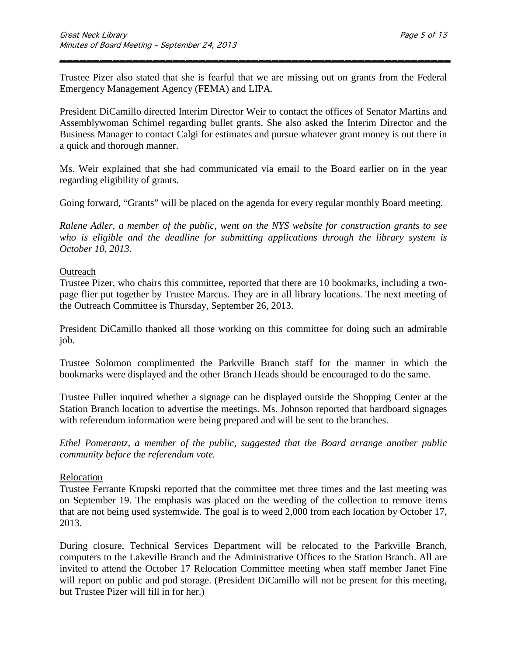Trustee Pizer also stated that she is fearful that we are missing out on grants from the Federal Emergency Management Agency (FEMA) and LIPA.

\_\_\_\_\_\_\_\_\_\_\_\_\_\_\_\_\_\_\_\_\_\_\_\_\_\_\_\_\_\_\_\_\_\_\_\_\_\_\_\_\_\_\_\_\_\_\_\_\_\_\_\_\_\_\_\_\_\_\_

President DiCamillo directed Interim Director Weir to contact the offices of Senator Martins and Assemblywoman Schimel regarding bullet grants. She also asked the Interim Director and the Business Manager to contact Calgi for estimates and pursue whatever grant money is out there in a quick and thorough manner.

Ms. Weir explained that she had communicated via email to the Board earlier on in the year regarding eligibility of grants.

Going forward, "Grants" will be placed on the agenda for every regular monthly Board meeting.

*Ralene Adler, a member of the public, went on the NYS website for construction grants to see who is eligible and the deadline for submitting applications through the library system is October 10, 2013.*

#### **Outreach**

Trustee Pizer, who chairs this committee, reported that there are 10 bookmarks, including a twopage flier put together by Trustee Marcus. They are in all library locations. The next meeting of the Outreach Committee is Thursday, September 26, 2013.

President DiCamillo thanked all those working on this committee for doing such an admirable job.

Trustee Solomon complimented the Parkville Branch staff for the manner in which the bookmarks were displayed and the other Branch Heads should be encouraged to do the same.

Trustee Fuller inquired whether a signage can be displayed outside the Shopping Center at the Station Branch location to advertise the meetings. Ms. Johnson reported that hardboard signages with referendum information were being prepared and will be sent to the branches.

*Ethel Pomerantz, a member of the public, suggested that the Board arrange another public community before the referendum vote.*

#### Relocation

Trustee Ferrante Krupski reported that the committee met three times and the last meeting was on September 19. The emphasis was placed on the weeding of the collection to remove items that are not being used systemwide. The goal is to weed 2,000 from each location by October 17, 2013.

During closure, Technical Services Department will be relocated to the Parkville Branch, computers to the Lakeville Branch and the Administrative Offices to the Station Branch. All are invited to attend the October 17 Relocation Committee meeting when staff member Janet Fine will report on public and pod storage. (President DiCamillo will not be present for this meeting, but Trustee Pizer will fill in for her.)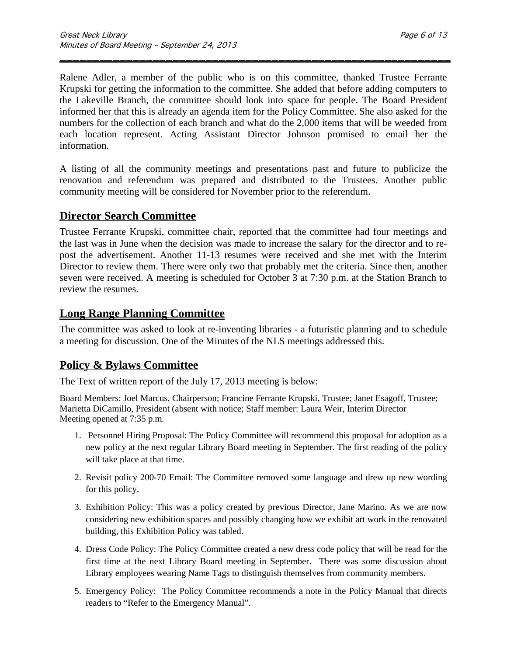Ralene Adler, a member of the public who is on this committee, thanked Trustee Ferrante Krupski for getting the information to the committee. She added that before adding computers to the Lakeville Branch, the committee should look into space for people. The Board President informed her that this is already an agenda item for the Policy Committee. She also asked for the numbers for the collection of each branch and what do the 2,000 items that will be weeded from each location represent. Acting Assistant Director Johnson promised to email her the information.

\_\_\_\_\_\_\_\_\_\_\_\_\_\_\_\_\_\_\_\_\_\_\_\_\_\_\_\_\_\_\_\_\_\_\_\_\_\_\_\_\_\_\_\_\_\_\_\_\_\_\_\_\_\_\_\_\_\_\_

A listing of all the community meetings and presentations past and future to publicize the renovation and referendum was prepared and distributed to the Trustees. Another public community meeting will be considered for November prior to the referendum.

## **Director Search Committee**

Trustee Ferrante Krupski, committee chair, reported that the committee had four meetings and the last was in June when the decision was made to increase the salary for the director and to repost the advertisement. Another 11-13 resumes were received and she met with the Interim Director to review them. There were only two that probably met the criteria. Since then, another seven were received. A meeting is scheduled for October 3 at 7:30 p.m. at the Station Branch to review the resumes.

## **Long Range Planning Committee**

The committee was asked to look at re-inventing libraries - a futuristic planning and to schedule a meeting for discussion. One of the Minutes of the NLS meetings addressed this.

## **Policy & Bylaws Committee**

The Text of written report of the July 17, 2013 meeting is below:

Board Members: Joel Marcus, Chairperson; Francine Ferrante Krupski, Trustee; Janet Esagoff, Trustee; Marietta DiCamillo, President (absent with notice; Staff member: Laura Weir, Interim Director Meeting opened at 7:35 p.m.

- 1. Personnel Hiring Proposal: The Policy Committee will recommend this proposal for adoption as a new policy at the next regular Library Board meeting in September. The first reading of the policy will take place at that time.
- 2. Revisit policy 200-70 Email: The Committee removed some language and drew up new wording for this policy.
- 3. Exhibition Policy: This was a policy created by previous Director, Jane Marino. As we are now considering new exhibition spaces and possibly changing how we exhibit art work in the renovated building, this Exhibition Policy was tabled.
- 4. Dress Code Policy: The Policy Committee created a new dress code policy that will be read for the first time at the next Library Board meeting in September. There was some discussion about Library employees wearing Name Tags to distinguish themselves from community members.
- 5. Emergency Policy: The Policy Committee recommends a note in the Policy Manual that directs readers to "Refer to the Emergency Manual".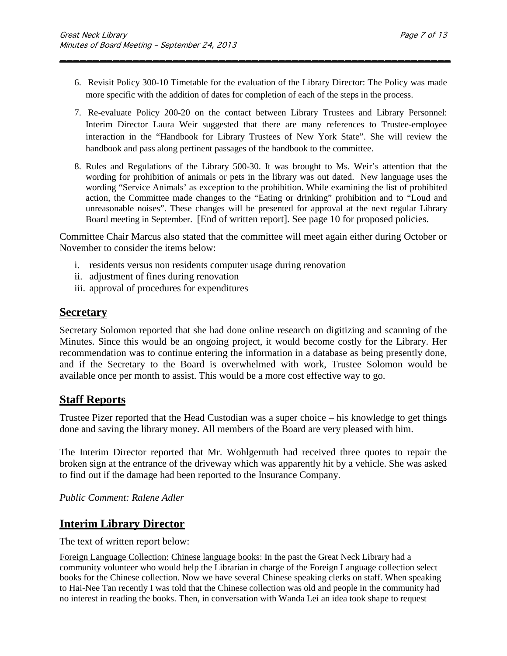6. Revisit Policy 300-10 Timetable for the evaluation of the Library Director: The Policy was made more specific with the addition of dates for completion of each of the steps in the process.

\_\_\_\_\_\_\_\_\_\_\_\_\_\_\_\_\_\_\_\_\_\_\_\_\_\_\_\_\_\_\_\_\_\_\_\_\_\_\_\_\_\_\_\_\_\_\_\_\_\_\_\_\_\_\_\_\_\_\_

- 7. Re-evaluate Policy 200-20 on the contact between Library Trustees and Library Personnel: Interim Director Laura Weir suggested that there are many references to Trustee-employee interaction in the "Handbook for Library Trustees of New York State". She will review the handbook and pass along pertinent passages of the handbook to the committee.
- 8. Rules and Regulations of the Library 500-30. It was brought to Ms. Weir's attention that the wording for prohibition of animals or pets in the library was out dated. New language uses the wording "Service Animals' as exception to the prohibition. While examining the list of prohibited action, the Committee made changes to the "Eating or drinking" prohibition and to "Loud and unreasonable noises". These changes will be presented for approval at the next regular Library Board meeting in September. [End of written report]. See page 10 for proposed policies.

Committee Chair Marcus also stated that the committee will meet again either during October or November to consider the items below:

- i. residents versus non residents computer usage during renovation
- ii. adjustment of fines during renovation
- iii. approval of procedures for expenditures

### **Secretary**

Secretary Solomon reported that she had done online research on digitizing and scanning of the Minutes. Since this would be an ongoing project, it would become costly for the Library. Her recommendation was to continue entering the information in a database as being presently done, and if the Secretary to the Board is overwhelmed with work, Trustee Solomon would be available once per month to assist. This would be a more cost effective way to go.

## **Staff Reports**

Trustee Pizer reported that the Head Custodian was a super choice – his knowledge to get things done and saving the library money. All members of the Board are very pleased with him.

The Interim Director reported that Mr. Wohlgemuth had received three quotes to repair the broken sign at the entrance of the driveway which was apparently hit by a vehicle. She was asked to find out if the damage had been reported to the Insurance Company.

*Public Comment: Ralene Adler*

## **Interim Library Director**

The text of written report below:

Foreign Language Collection: Chinese language books: In the past the Great Neck Library had a community volunteer who would help the Librarian in charge of the Foreign Language collection select books for the Chinese collection. Now we have several Chinese speaking clerks on staff. When speaking to Hai-Nee Tan recently I was told that the Chinese collection was old and people in the community had no interest in reading the books. Then, in conversation with Wanda Lei an idea took shape to request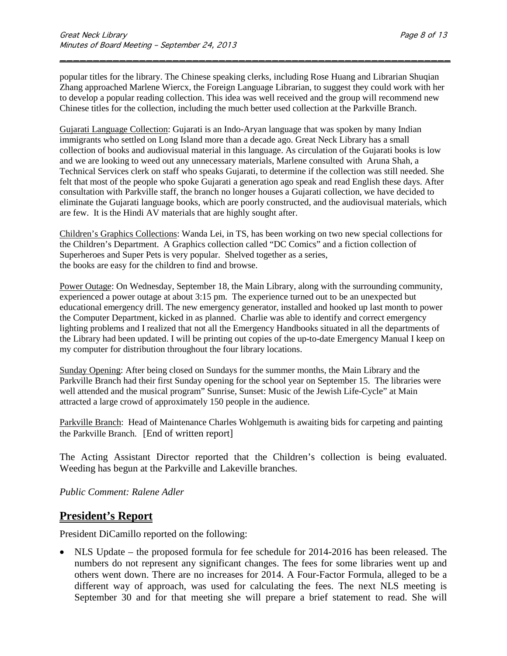popular titles for the library. The Chinese speaking clerks, including Rose Huang and Librarian Shuqian Zhang approached Marlene Wiercx, the Foreign Language Librarian, to suggest they could work with her to develop a popular reading collection. This idea was well received and the group will recommend new Chinese titles for the collection, including the much better used collection at the Parkville Branch.

\_\_\_\_\_\_\_\_\_\_\_\_\_\_\_\_\_\_\_\_\_\_\_\_\_\_\_\_\_\_\_\_\_\_\_\_\_\_\_\_\_\_\_\_\_\_\_\_\_\_\_\_\_\_\_\_\_\_\_

Gujarati Language Collection: Gujarati is an Indo-Aryan language that was spoken by many Indian immigrants who settled on Long Island more than a decade ago. Great Neck Library has a small collection of books and audiovisual material in this language. As circulation of the Gujarati books is low and we are looking to weed out any unnecessary materials, Marlene consulted with Aruna Shah, a Technical Services clerk on staff who speaks Gujarati, to determine if the collection was still needed. She felt that most of the people who spoke Gujarati a generation ago speak and read English these days. After consultation with Parkville staff, the branch no longer houses a Gujarati collection, we have decided to eliminate the Gujarati language books, which are poorly constructed, and the audiovisual materials, which are few. It is the Hindi AV materials that are highly sought after.

Children's Graphics Collections: Wanda Lei, in TS, has been working on two new special collections for the Children's Department. A Graphics collection called "DC Comics" and a fiction collection of Superheroes and Super Pets is very popular. Shelved together as a series, the books are easy for the children to find and browse.

Power Outage: On Wednesday, September 18, the Main Library, along with the surrounding community, experienced a power outage at about 3:15 pm. The experience turned out to be an unexpected but educational emergency drill. The new emergency generator, installed and hooked up last month to power the Computer Department, kicked in as planned. Charlie was able to identify and correct emergency lighting problems and I realized that not all the Emergency Handbooks situated in all the departments of the Library had been updated. I will be printing out copies of the up-to-date Emergency Manual I keep on my computer for distribution throughout the four library locations.

Sunday Opening: After being closed on Sundays for the summer months, the Main Library and the Parkville Branch had their first Sunday opening for the school year on September 15. The libraries were well attended and the musical program" Sunrise, Sunset: Music of the Jewish Life-Cycle" at Main attracted a large crowd of approximately 150 people in the audience.

Parkville Branch: Head of Maintenance Charles Wohlgemuth is awaiting bids for carpeting and painting the Parkville Branch. [End of written report]

The Acting Assistant Director reported that the Children's collection is being evaluated. Weeding has begun at the Parkville and Lakeville branches.

*Public Comment: Ralene Adler*

## **President's Report**

President DiCamillo reported on the following:

• NLS Update – the proposed formula for fee schedule for 2014-2016 has been released. The numbers do not represent any significant changes. The fees for some libraries went up and others went down. There are no increases for 2014. A Four-Factor Formula, alleged to be a different way of approach, was used for calculating the fees. The next NLS meeting is September 30 and for that meeting she will prepare a brief statement to read. She will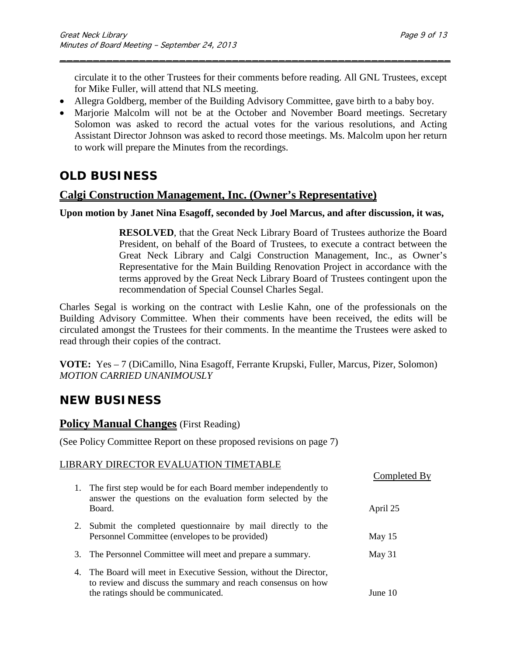circulate it to the other Trustees for their comments before reading. All GNL Trustees, except for Mike Fuller, will attend that NLS meeting.

\_\_\_\_\_\_\_\_\_\_\_\_\_\_\_\_\_\_\_\_\_\_\_\_\_\_\_\_\_\_\_\_\_\_\_\_\_\_\_\_\_\_\_\_\_\_\_\_\_\_\_\_\_\_\_\_\_\_\_

- Allegra Goldberg, member of the Building Advisory Committee, gave birth to a baby boy.
- Marjorie Malcolm will not be at the October and November Board meetings. Secretary Solomon was asked to record the actual votes for the various resolutions, and Acting Assistant Director Johnson was asked to record those meetings. Ms. Malcolm upon her return to work will prepare the Minutes from the recordings.

# **OLD BUSINESS**

## **Calgi Construction Management, Inc. (Owner's Representative)**

### **Upon motion by Janet Nina Esagoff, seconded by Joel Marcus, and after discussion, it was,**

**RESOLVED**, that the Great Neck Library Board of Trustees authorize the Board President, on behalf of the Board of Trustees, to execute a contract between the Great Neck Library and Calgi Construction Management, Inc., as Owner's Representative for the Main Building Renovation Project in accordance with the terms approved by the Great Neck Library Board of Trustees contingent upon the recommendation of Special Counsel Charles Segal.

Charles Segal is working on the contract with Leslie Kahn, one of the professionals on the Building Advisory Committee. When their comments have been received, the edits will be circulated amongst the Trustees for their comments. In the meantime the Trustees were asked to read through their copies of the contract.

**VOTE:** Yes – 7 (DiCamillo, Nina Esagoff, Ferrante Krupski, Fuller, Marcus, Pizer, Solomon) *MOTION CARRIED UNANIMOUSLY*

# **NEW BUSINESS**

### **Policy Manual Changes** (First Reading)

(See Policy Committee Report on these proposed revisions on page 7)

### LIBRARY DIRECTOR EVALUATION TIMETABLE

|                                                                                                                                                                              | Completed By |
|------------------------------------------------------------------------------------------------------------------------------------------------------------------------------|--------------|
| The first step would be for each Board member independently to<br>1.<br>answer the questions on the evaluation form selected by the<br>Board.                                | April 25     |
| 2. Submit the completed questionnaire by mail directly to the<br>Personnel Committee (envelopes to be provided)                                                              | May $15$     |
| 3. The Personnel Committee will meet and prepare a summary.                                                                                                                  | May 31       |
| The Board will meet in Executive Session, without the Director,<br>4.<br>to review and discuss the summary and reach consensus on how<br>the ratings should be communicated. | June $10$    |
|                                                                                                                                                                              |              |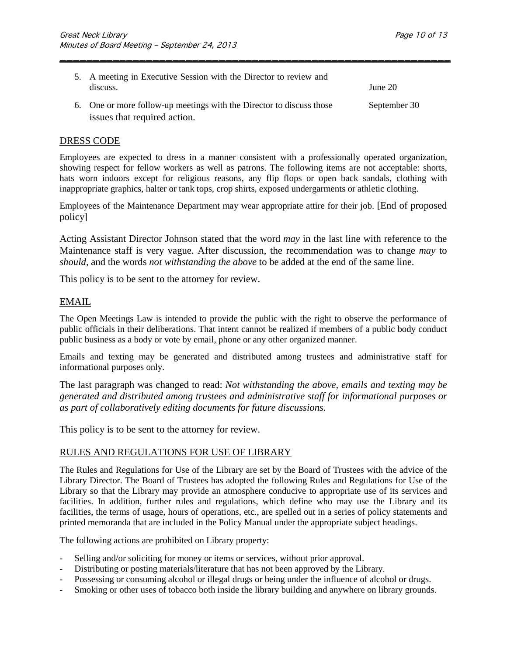| 5. A meeting in Executive Session with the Director to review and<br>discuss.                        | June $20$    |
|------------------------------------------------------------------------------------------------------|--------------|
| 6. One or more follow-up meetings with the Director to discuss those<br>issues that required action. | September 30 |

\_\_\_\_\_\_\_\_\_\_\_\_\_\_\_\_\_\_\_\_\_\_\_\_\_\_\_\_\_\_\_\_\_\_\_\_\_\_\_\_\_\_\_\_\_\_\_\_\_\_\_\_\_\_\_\_\_\_\_

#### DRESS CODE

Employees are expected to dress in a manner consistent with a professionally operated organization, showing respect for fellow workers as well as patrons. The following items are not acceptable: shorts, hats worn indoors except for religious reasons, any flip flops or open back sandals, clothing with inappropriate graphics, halter or tank tops, crop shirts, exposed undergarments or athletic clothing.

Employees of the Maintenance Department may wear appropriate attire for their job. [End of proposed policy]

Acting Assistant Director Johnson stated that the word *may* in the last line with reference to the Maintenance staff is very vague. After discussion, the recommendation was to change *may* to *should*, and the words *not withstanding the above* to be added at the end of the same line.

This policy is to be sent to the attorney for review.

#### EMAIL

The Open Meetings Law is intended to provide the public with the right to observe the performance of public officials in their deliberations. That intent cannot be realized if members of a public body conduct public business as a body or vote by email, phone or any other organized manner.

Emails and texting may be generated and distributed among trustees and administrative staff for informational purposes only.

The last paragraph was changed to read: *Not withstanding the above, emails and texting may be generated and distributed among trustees and administrative staff for informational purposes or as part of collaboratively editing documents for future discussions.*

This policy is to be sent to the attorney for review.

### RULES AND REGULATIONS FOR USE OF LIBRARY

The Rules and Regulations for Use of the Library are set by the Board of Trustees with the advice of the Library Director. The Board of Trustees has adopted the following Rules and Regulations for Use of the Library so that the Library may provide an atmosphere conducive to appropriate use of its services and facilities. In addition, further rules and regulations, which define who may use the Library and its facilities, the terms of usage, hours of operations, etc., are spelled out in a series of policy statements and printed memoranda that are included in the Policy Manual under the appropriate subject headings.

The following actions are prohibited on Library property:

- Selling and/or soliciting for money or items or services, without prior approval.
- Distributing or posting materials/literature that has not been approved by the Library.
- Possessing or consuming alcohol or illegal drugs or being under the influence of alcohol or drugs.
- Smoking or other uses of tobacco both inside the library building and anywhere on library grounds.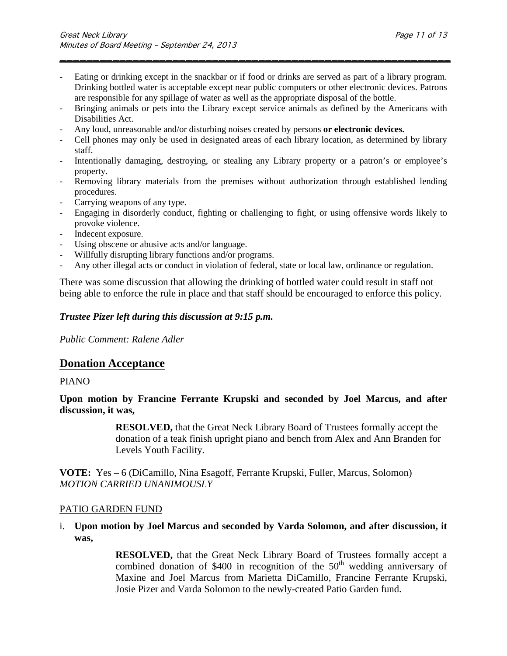Eating or drinking except in the snackbar or if food or drinks are served as part of a library program. Drinking bottled water is acceptable except near public computers or other electronic devices. Patrons are responsible for any spillage of water as well as the appropriate disposal of the bottle.

\_\_\_\_\_\_\_\_\_\_\_\_\_\_\_\_\_\_\_\_\_\_\_\_\_\_\_\_\_\_\_\_\_\_\_\_\_\_\_\_\_\_\_\_\_\_\_\_\_\_\_\_\_\_\_\_\_\_\_

- Bringing animals or pets into the Library except service animals as defined by the Americans with Disabilities Act.
- Any loud, unreasonable and/or disturbing noises created by persons **or electronic devices.**
- Cell phones may only be used in designated areas of each library location, as determined by library staff.
- Intentionally damaging, destroying, or stealing any Library property or a patron's or employee's property.
- Removing library materials from the premises without authorization through established lending procedures.
- Carrying weapons of any type.
- Engaging in disorderly conduct, fighting or challenging to fight, or using offensive words likely to provoke violence.
- Indecent exposure.
- Using obscene or abusive acts and/or language.
- Willfully disrupting library functions and/or programs.
- Any other illegal acts or conduct in violation of federal, state or local law, ordinance or regulation.

There was some discussion that allowing the drinking of bottled water could result in staff not being able to enforce the rule in place and that staff should be encouraged to enforce this policy.

### *Trustee Pizer left during this discussion at 9:15 p.m.*

*Public Comment: Ralene Adler*

### **Donation Acceptance**

#### PIANO

**Upon motion by Francine Ferrante Krupski and seconded by Joel Marcus, and after discussion, it was,**

> **RESOLVED,** that the Great Neck Library Board of Trustees formally accept the donation of a teak finish upright piano and bench from Alex and Ann Branden for Levels Youth Facility.

**VOTE:** Yes – 6 (DiCamillo, Nina Esagoff, Ferrante Krupski, Fuller, Marcus, Solomon) *MOTION CARRIED UNANIMOUSLY*

### PATIO GARDEN FUND

i. **Upon motion by Joel Marcus and seconded by Varda Solomon, and after discussion, it was,**

> **RESOLVED,** that the Great Neck Library Board of Trustees formally accept a combined donation of \$400 in recognition of the  $50<sup>th</sup>$  wedding anniversary of Maxine and Joel Marcus from Marietta DiCamillo, Francine Ferrante Krupski, Josie Pizer and Varda Solomon to the newly-created Patio Garden fund.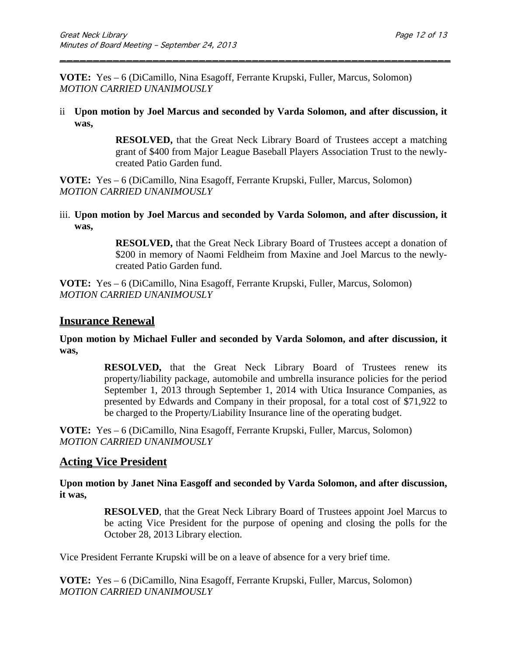**VOTE:** Yes – 6 (DiCamillo, Nina Esagoff, Ferrante Krupski, Fuller, Marcus, Solomon) *MOTION CARRIED UNANIMOUSLY*

ii **Upon motion by Joel Marcus and seconded by Varda Solomon, and after discussion, it was,**

\_\_\_\_\_\_\_\_\_\_\_\_\_\_\_\_\_\_\_\_\_\_\_\_\_\_\_\_\_\_\_\_\_\_\_\_\_\_\_\_\_\_\_\_\_\_\_\_\_\_\_\_\_\_\_\_\_\_\_

**RESOLVED,** that the Great Neck Library Board of Trustees accept a matching grant of \$400 from Major League Baseball Players Association Trust to the newlycreated Patio Garden fund.

**VOTE:** Yes – 6 (DiCamillo, Nina Esagoff, Ferrante Krupski, Fuller, Marcus, Solomon) *MOTION CARRIED UNANIMOUSLY*

iii. **Upon motion by Joel Marcus and seconded by Varda Solomon, and after discussion, it was,**

> **RESOLVED,** that the Great Neck Library Board of Trustees accept a donation of \$200 in memory of Naomi Feldheim from Maxine and Joel Marcus to the newlycreated Patio Garden fund.

**VOTE:** Yes – 6 (DiCamillo, Nina Esagoff, Ferrante Krupski, Fuller, Marcus, Solomon) *MOTION CARRIED UNANIMOUSLY*

### **Insurance Renewal**

**Upon motion by Michael Fuller and seconded by Varda Solomon, and after discussion, it was,**

> **RESOLVED,** that the Great Neck Library Board of Trustees renew its property/liability package, automobile and umbrella insurance policies for the period September 1, 2013 through September 1, 2014 with Utica Insurance Companies, as presented by Edwards and Company in their proposal, for a total cost of \$71,922 to be charged to the Property/Liability Insurance line of the operating budget.

**VOTE:** Yes – 6 (DiCamillo, Nina Esagoff, Ferrante Krupski, Fuller, Marcus, Solomon) *MOTION CARRIED UNANIMOUSLY*

### **Acting Vice President**

**Upon motion by Janet Nina Easgoff and seconded by Varda Solomon, and after discussion, it was,**

> **RESOLVED**, that the Great Neck Library Board of Trustees appoint Joel Marcus to be acting Vice President for the purpose of opening and closing the polls for the October 28, 2013 Library election.

Vice President Ferrante Krupski will be on a leave of absence for a very brief time.

**VOTE:** Yes – 6 (DiCamillo, Nina Esagoff, Ferrante Krupski, Fuller, Marcus, Solomon) *MOTION CARRIED UNANIMOUSLY*